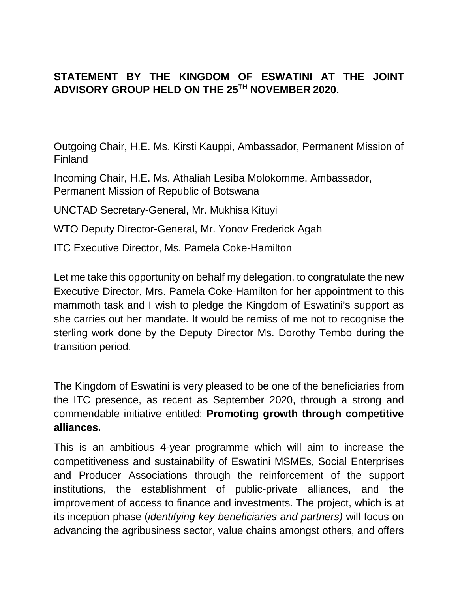## **STATEMENT BY THE KINGDOM OF ESWATINI AT THE JOINT ADVISORY GROUP HELD ON THE 25TH NOVEMBER 2020.**

Outgoing Chair, H.E. Ms. Kirsti Kauppi, Ambassador, Permanent Mission of Finland

Incoming Chair, H.E. Ms. Athaliah Lesiba Molokomme, Ambassador, Permanent Mission of Republic of Botswana

UNCTAD Secretary-General, Mr. Mukhisa Kituyi

WTO Deputy Director-General, Mr. Yonov Frederick Agah

ITC Executive Director, Ms. Pamela Coke-Hamilton

Let me take this opportunity on behalf my delegation, to congratulate the new Executive Director, Mrs. Pamela Coke-Hamilton for her appointment to this mammoth task and I wish to pledge the Kingdom of Eswatini's support as she carries out her mandate. It would be remiss of me not to recognise the sterling work done by the Deputy Director Ms. Dorothy Tembo during the transition period.

The Kingdom of Eswatini is very pleased to be one of the beneficiaries from the ITC presence, as recent as September 2020, through a strong and commendable initiative entitled: **Promoting growth through competitive alliances.** 

This is an ambitious 4-year programme which will aim to increase the competitiveness and sustainability of Eswatini MSMEs, Social Enterprises and Producer Associations through the reinforcement of the support institutions, the establishment of public-private alliances, and the improvement of access to finance and investments. The project, which is at its inception phase (*identifying key beneficiaries and partners)* will focus on advancing the agribusiness sector, value chains amongst others, and offers